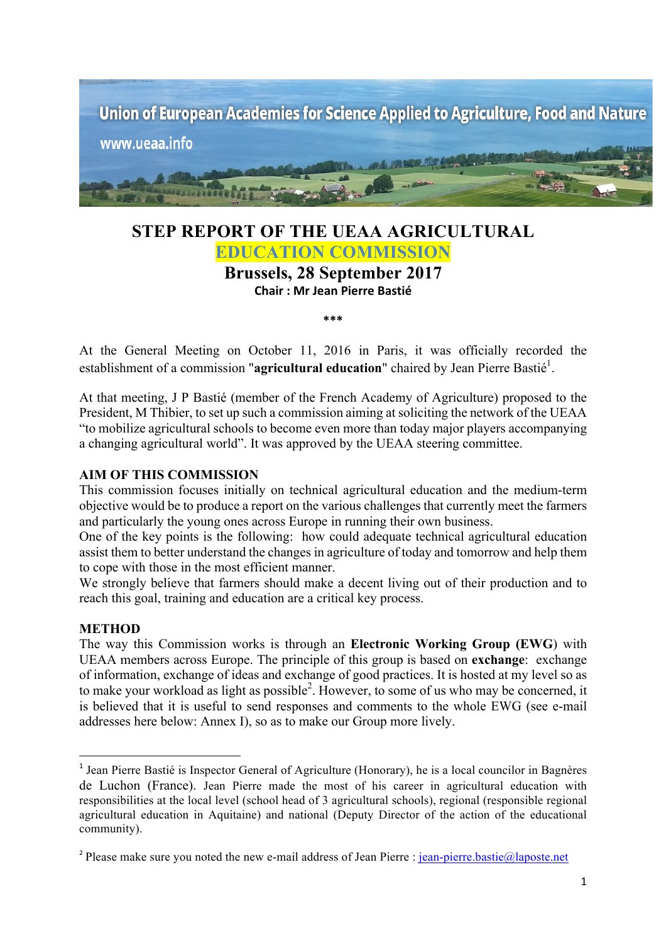

# **STEP REPORT OF THE UEAA AGRICULTURAL EDUCATION COMMISSION**

**Brussels, 28 September 2017 Chair : Mr Jean Pierre Bastié**

**\*\*\***

At the General Meeting on October 11, 2016 in Paris, it was officially recorded the establishment of a commission "**agricultural education**" chaired by Jean Pierre Bastié<sup>1</sup>.

At that meeting, J P Bastié (member of the French Academy of Agriculture) proposed to the President, M Thibier, to set up such a commission aiming at soliciting the network of the UEAA "to mobilize agricultural schools to become even more than today major players accompanying a changing agricultural world". It was approved by the UEAA steering committee.

#### **AIM OF THIS COMMISSION**

 

This commission focuses initially on technical agricultural education and the medium-term objective would be to produce a report on the various challenges that currently meet the farmers and particularly the young ones across Europe in running their own business.

One of the key points is the following: how could adequate technical agricultural education assist them to better understand the changes in agriculture of today and tomorrow and help them to cope with those in the most efficient manner.

We strongly believe that farmers should make a decent living out of their production and to reach this goal, training and education are a critical key process.

#### **METHOD**

The way this Commission works is through an **Electronic Working Group (EWG**) with UEAA members across Europe. The principle of this group is based on **exchange**: exchange of information, exchange of ideas and exchange of good practices. It is hosted at my level so as to make your workload as light as possible<sup>2</sup>. However, to some of us who may be concerned, it is believed that it is useful to send responses and comments to the whole EWG (see e-mail addresses here below: Annex I), so as to make our Group more lively.

<sup>&</sup>lt;sup>1</sup> Jean Pierre Bastié is Inspector General of Agriculture (Honorary), he is a local councilor in Bagnères de Luchon (France). Jean Pierre made the most of his career in agricultural education with responsibilities at the local level (school head of 3 agricultural schools), regional (responsible regional agricultural education in Aquitaine) and national (Deputy Director of the action of the educational community).

<sup>&</sup>lt;sup>2</sup> Please make sure you noted the new e-mail address of Jean Pierre : jean-pierre.bastie@laposte.net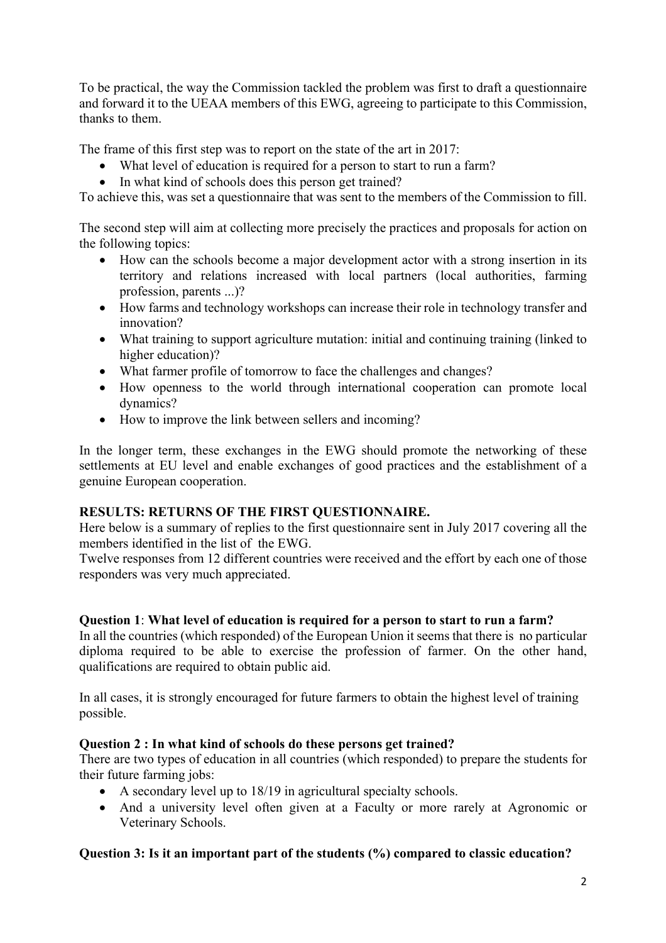To be practical, the way the Commission tackled the problem was first to draft a questionnaire and forward it to the UEAA members of this EWG, agreeing to participate to this Commission, thanks to them.

The frame of this first step was to report on the state of the art in 2017:

- What level of education is required for a person to start to run a farm?
- In what kind of schools does this person get trained?

To achieve this, was set a questionnaire that was sent to the members of the Commission to fill.

The second step will aim at collecting more precisely the practices and proposals for action on the following topics:

- How can the schools become a major development actor with a strong insertion in its territory and relations increased with local partners (local authorities, farming profession, parents ...)?
- How farms and technology workshops can increase their role in technology transfer and innovation?
- What training to support agriculture mutation: initial and continuing training (linked to higher education)?
- What farmer profile of tomorrow to face the challenges and changes?
- How openness to the world through international cooperation can promote local dynamics?
- How to improve the link between sellers and incoming?

In the longer term, these exchanges in the EWG should promote the networking of these settlements at EU level and enable exchanges of good practices and the establishment of a genuine European cooperation.

# **RESULTS: RETURNS OF THE FIRST QUESTIONNAIRE.**

Here below is a summary of replies to the first questionnaire sent in July 2017 covering all the members identified in the list of the EWG.

Twelve responses from 12 different countries were received and the effort by each one of those responders was very much appreciated.

# **Question 1**: **What level of education is required for a person to start to run a farm?**

In all the countries (which responded) of the European Union it seems that there is no particular diploma required to be able to exercise the profession of farmer. On the other hand, qualifications are required to obtain public aid.

In all cases, it is strongly encouraged for future farmers to obtain the highest level of training possible.

# **Question 2 : In what kind of schools do these persons get trained?**

There are two types of education in all countries (which responded) to prepare the students for their future farming jobs:

- A secondary level up to 18/19 in agricultural specialty schools.
- And a university level often given at a Faculty or more rarely at Agronomic or Veterinary Schools.

# **Question 3: Is it an important part of the students (%) compared to classic education?**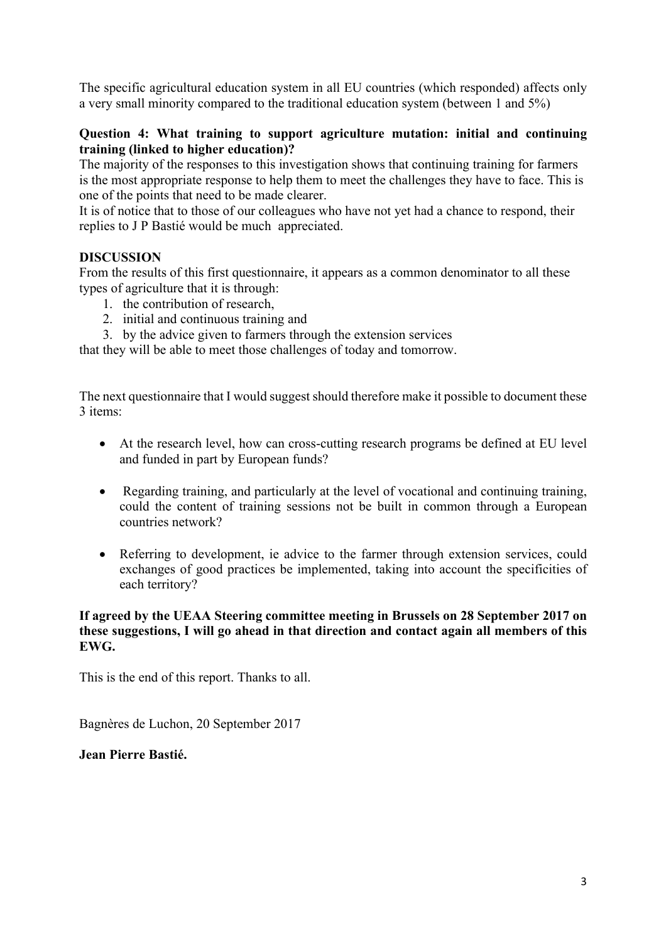The specific agricultural education system in all EU countries (which responded) affects only a very small minority compared to the traditional education system (between 1 and 5%)

## **Question 4: What training to support agriculture mutation: initial and continuing training (linked to higher education)?**

The majority of the responses to this investigation shows that continuing training for farmers is the most appropriate response to help them to meet the challenges they have to face. This is one of the points that need to be made clearer.

It is of notice that to those of our colleagues who have not yet had a chance to respond, their replies to J P Bastié would be much appreciated.

## **DISCUSSION**

From the results of this first questionnaire, it appears as a common denominator to all these types of agriculture that it is through:

- 1. the contribution of research,
- 2. initial and continuous training and
- 3. by the advice given to farmers through the extension services

that they will be able to meet those challenges of today and tomorrow.

The next questionnaire that I would suggest should therefore make it possible to document these 3 items:

- At the research level, how can cross-cutting research programs be defined at EU level and funded in part by European funds?
- Regarding training, and particularly at the level of vocational and continuing training, could the content of training sessions not be built in common through a European countries network?
- Referring to development, ie advice to the farmer through extension services, could exchanges of good practices be implemented, taking into account the specificities of each territory?

## **If agreed by the UEAA Steering committee meeting in Brussels on 28 September 2017 on these suggestions, I will go ahead in that direction and contact again all members of this EWG.**

This is the end of this report. Thanks to all.

Bagnères de Luchon, 20 September 2017

**Jean Pierre Bastié.**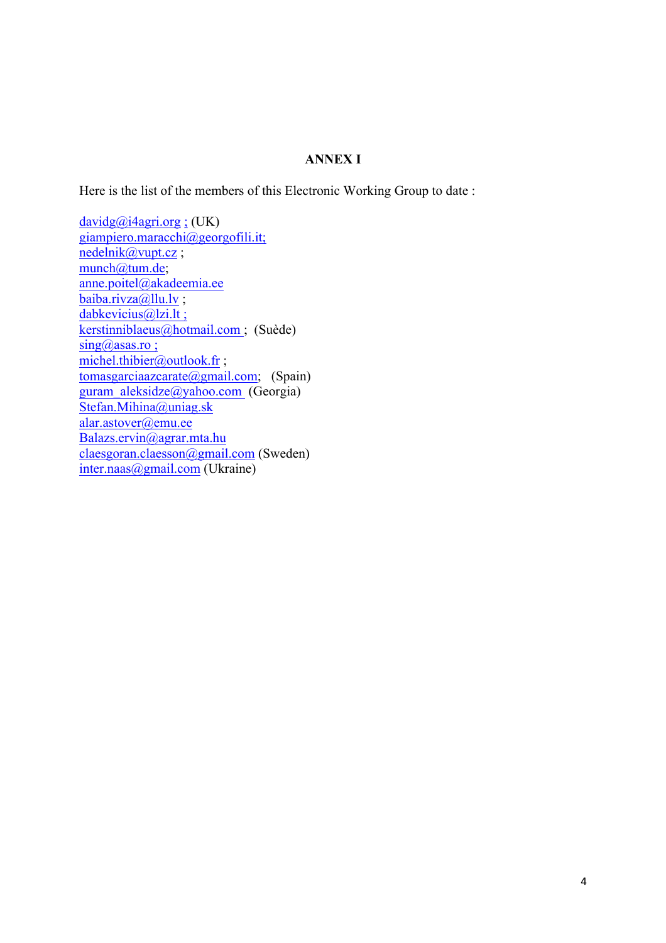#### **ANNEX I**

Here is the list of the members of this Electronic Working Group to date :

 $davidg@i4agri.org$ ; (UK) giampiero.maracchi@georgofili.it; nedelnik@vupt.cz ; munch@tum.de; anne.poitel@akadeemia.ee baiba.rivza@llu.lv ; dabkevicius@lzi.lt; kerstinniblaeus@hotmail.com ; (Suède)  $sing(a)$ asas.ro; michel.thibier@outlook.fr ; tomasgarciaazcarate@gmail.com; (Spain) guram\_aleksidze@yahoo.com (Georgia) Stefan.Mihina@uniag.sk alar.astover@emu.ee Balazs.ervin@agrar.mta.hu claesgoran.claesson@gmail.com (Sweden) inter.naas@gmail.com (Ukraine)